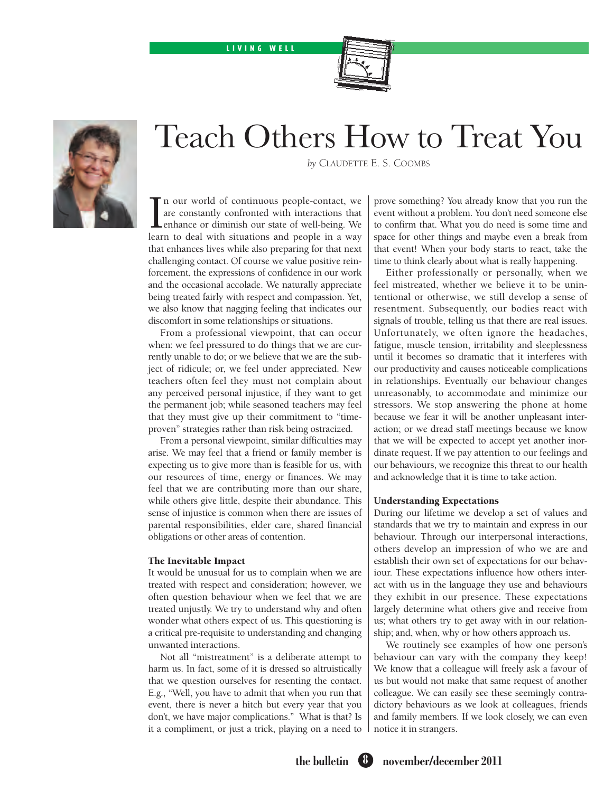## LIVING WELL





# Teach Others How to Treat You

*by* Claudette E. S. Coombs

 $\prod_{\text{learn}}$ n our world of continuous people-contact, we are constantly confronted with interactions that enhance or diminish our state of well-being. We learn to deal with situations and people in a way that enhances lives while also preparing for that next challenging contact. Of course we value positive reinforcement, the expressions of confidence in our work and the occasional accolade. We naturally appreciate being treated fairly with respect and compassion. Yet, we also know that nagging feeling that indicates our discomfort in some relationships or situations.

From a professional viewpoint, that can occur when: we feel pressured to do things that we are currently unable to do; or we believe that we are the subject of ridicule; or, we feel under appreciated. New teachers often feel they must not complain about any perceived personal injustice, if they want to get the permanent job; while seasoned teachers may feel that they must give up their commitment to "timeproven" strategies rather than risk being ostracized.

From a personal viewpoint, similar difficulties may arise. We may feel that a friend or family member is expecting us to give more than is feasible for us, with our resources of time, energy or finances. We may feel that we are contributing more than our share, while others give little, despite their abundance. This sense of injustice is common when there are issues of parental responsibilities, elder care, shared financial obligations or other areas of contention.

## The Inevitable Impact

It would be unusual for us to complain when we are treated with respect and consideration; however, we often question behaviour when we feel that we are treated unjustly. We try to understand why and often wonder what others expect of us. This questioning is a critical pre-requisite to understanding and changing unwanted interactions.

Not all "mistreatment" is a deliberate attempt to harm us. In fact, some of it is dressed so altruistically that we question ourselves for resenting the contact. E.g., "Well, you have to admit that when you run that event, there is never a hitch but every year that you don't, we have major complications." What is that? Is it a compliment, or just a trick, playing on a need to prove something? You already know that you run the event without a problem. You don't need someone else to confirm that. What you do need is some time and space for other things and maybe even a break from that event! When your body starts to react, take the time to think clearly about what is really happening.

Either professionally or personally, when we feel mistreated, whether we believe it to be unintentional or otherwise, we still develop a sense of resentment. Subsequently, our bodies react with signals of trouble, telling us that there are real issues. Unfortunately, we often ignore the headaches, fatigue, muscle tension, irritability and sleeplessness until it becomes so dramatic that it interferes with our productivity and causes noticeable complications in relationships. Eventually our behaviour changes unreasonably, to accommodate and minimize our stressors. We stop answering the phone at home because we fear it will be another unpleasant interaction; or we dread staff meetings because we know that we will be expected to accept yet another inordinate request. If we pay attention to our feelings and our behaviours, we recognize this threat to our health and acknowledge that it is time to take action.

## Understanding Expectations

During our lifetime we develop a set of values and standards that we try to maintain and express in our behaviour. Through our interpersonal interactions, others develop an impression of who we are and establish their own set of expectations for our behaviour. These expectations influence how others interact with us in the language they use and behaviours they exhibit in our presence. These expectations largely determine what others give and receive from us; what others try to get away with in our relationship; and, when, why or how others approach us.

We routinely see examples of how one person's behaviour can vary with the company they keep! We know that a colleague will freely ask a favour of us but would not make that same request of another colleague. We can easily see these seemingly contradictory behaviours as we look at colleagues, friends and family members. If we look closely, we can even notice it in strangers.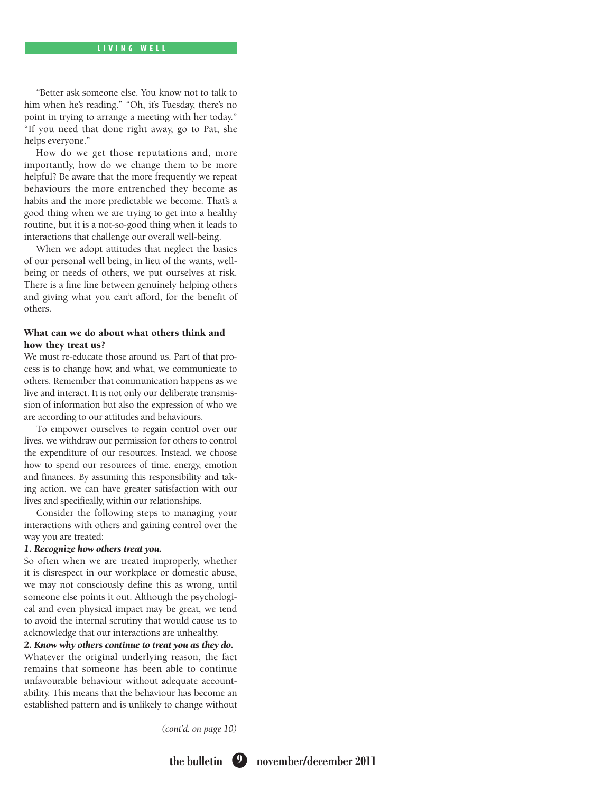"Better ask someone else. You know not to talk to him when he's reading." "Oh, it's Tuesday, there's no point in trying to arrange a meeting with her today." "If you need that done right away, go to Pat, she helps everyone."

How do we get those reputations and, more importantly, how do we change them to be more helpful? Be aware that the more frequently we repeat behaviours the more entrenched they become as habits and the more predictable we become. That's a good thing when we are trying to get into a healthy routine, but it is a not-so-good thing when it leads to interactions that challenge our overall well-being.

When we adopt attitudes that neglect the basics of our personal well being, in lieu of the wants, wellbeing or needs of others, we put ourselves at risk. There is a fine line between genuinely helping others and giving what you can't afford, for the benefit of others.

## What can we do about what others think and how they treat us?

We must re-educate those around us. Part of that process is to change how, and what, we communicate to others. Remember that communication happens as we live and interact. It is not only our deliberate transmission of information but also the expression of who we are according to our attitudes and behaviours.

To empower ourselves to regain control over our lives, we withdraw our permission for others to control the expenditure of our resources. Instead, we choose how to spend our resources of time, energy, emotion and finances. By assuming this responsibility and taking action, we can have greater satisfaction with our lives and specifically, within our relationships.

Consider the following steps to managing your interactions with others and gaining control over the way you are treated:

## *1. Recognize how others treat you.*

So often when we are treated improperly, whether it is disrespect in our workplace or domestic abuse, we may not consciously define this as wrong, until someone else points it out. Although the psychological and even physical impact may be great, we tend to avoid the internal scrutiny that would cause us to acknowledge that our interactions are unhealthy.

# *2. Know why others continue to treat you as they do.*

Whatever the original underlying reason, the fact remains that someone has been able to continue unfavourable behaviour without adequate accountability. This means that the behaviour has become an established pattern and is unlikely to change without

*(cont'd. on page 10)*